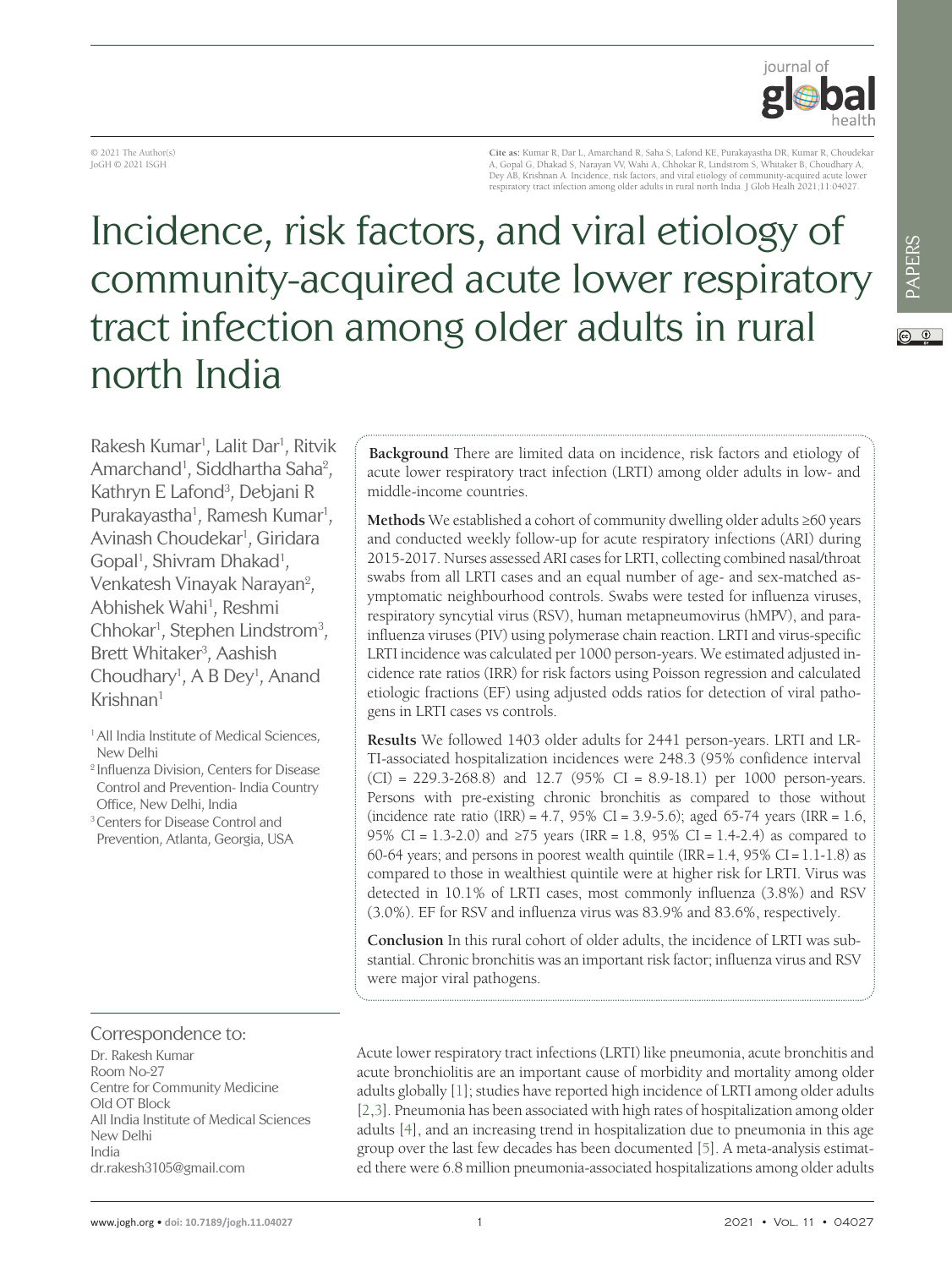

© 2021 The Author(s) JoGH © 2021 ISGH

**Cite as:** Kumar R, Dar L, Amarchand R, Saha S, Lafond KE, Purakayastha DR, Kumar R, Choudekar A, Gopal G, Dhakad S, Narayan W, Wahi A, Chhokar R, Lindstrom S, Whitaker B, Choudhary A,<br>Dey AB, Krishnan A. Incidence, risk factors, and viral etiology of community-acquired acute lower<br>respiratory tract infection among

# Incidence, risk factors, and viral etiology of community-acquired acute lower respiratory tract infection among older adults in rural north India

Rakesh Kumar<sup>1</sup> , Lalit Dar<sup>1</sup> , Ritvik Amarchand<sup>1</sup>, Siddhartha Saha<sup>2</sup>, Kathryn E Lafond<sup>3</sup>, Debjani R Purakayastha<sup>1</sup>, Ramesh Kumar<sup>1</sup>, Avinash Choudekar<sup>1</sup>, Giridara Gopal<sup>1</sup>, Shivram Dhakad<sup>1</sup>, Venkatesh Vinayak Narayan<sup>2</sup>, Abhishek Wahi<sup>1</sup>, Reshmi Chhokar<sup>1</sup>, Stephen Lindstrom<sup>3</sup>, Brett Whitaker<sup>3</sup>, Aashish Choudhary<sup>1</sup>, A B Dey<sup>1</sup>, Anand  $K$ rishnan $1$ 

<sup>1</sup> All India Institute of Medical Sciences, New Delhi

<sup>2</sup> Influenza Division, Centers for Disease Control and Prevention- India Country Office, New Delhi, India

<sup>3</sup> Centers for Disease Control and Prevention, Atlanta, Georgia, USA

**Background** There are limited data on incidence, risk factors and etiology of acute lower respiratory tract infection (LRTI) among older adults in low- and middle-income countries.

**Methods** We established a cohort of community dwelling older adults ≥60 years and conducted weekly follow-up for acute respiratory infections (ARI) during 2015-2017. Nurses assessed ARI cases for LRTI, collecting combined nasal/throat swabs from all LRTI cases and an equal number of age- and sex-matched asymptomatic neighbourhood controls. Swabs were tested for influenza viruses, respiratory syncytial virus (RSV), human metapneumovirus (hMPV), and parainfluenza viruses (PIV) using polymerase chain reaction. LRTI and virus-specific LRTI incidence was calculated per 1000 person-years. We estimated adjusted incidence rate ratios (IRR) for risk factors using Poisson regression and calculated etiologic fractions (EF) using adjusted odds ratios for detection of viral pathogens in LRTI cases vs controls.

**Results** We followed 1403 older adults for 2441 person-years. LRTI and LR-TI-associated hospitalization incidences were 248.3 (95% confidence interval  $(CI) = 229.3 - 268.8$  and 12.7 (95%  $CI = 8.9 - 18.1$ ) per 1000 person-years. Persons with pre-existing chronic bronchitis as compared to those without (incidence rate ratio (IRR) = 4.7, 95% CI = 3.9-5.6); aged 65-74 years (IRR = 1.6, 95% CI = 1.3-2.0) and ≥75 years (IRR = 1.8, 95% CI = 1.4-2.4) as compared to 60-64 years; and persons in poorest wealth quintile (IRR= 1.4, 95% CI = 1.1*-*1.8) as compared to those in wealthiest quintile were at higher risk for LRTI. Virus was detected in 10.1% of LRTI cases, most commonly influenza (3.8%) and RSV (3.0%). EF for RSV and influenza virus was 83.9% and 83.6%, respectively.

**Conclusion** In this rural cohort of older adults, the incidence of LRTI was substantial. Chronic bronchitis was an important risk factor; influenza virus and RSV were major viral pathogens.

#### Correspondence to:

Dr. Rakesh Kumar Room No-27 Centre for Community Medicine Old OT Block All India Institute of Medical Sciences New Delhi India dr.rakesh3105@gmail.com

Acute lower respiratory tract infections (LRTI) like pneumonia, acute bronchitis and acute bronchiolitis are an important cause of morbidity and mortality among older adults globally [1]; studies have reported high incidence of LRTI among older adults [2,3]. Pneumonia has been associated with high rates of hospitalization among older adults [4], and an increasing trend in hospitalization due to pneumonia in this age group over the last few decades has been documented [5]. A meta-analysis estimated there were 6.8 million pneumonia-associated hospitalizations among older adults

PAPERS<br>V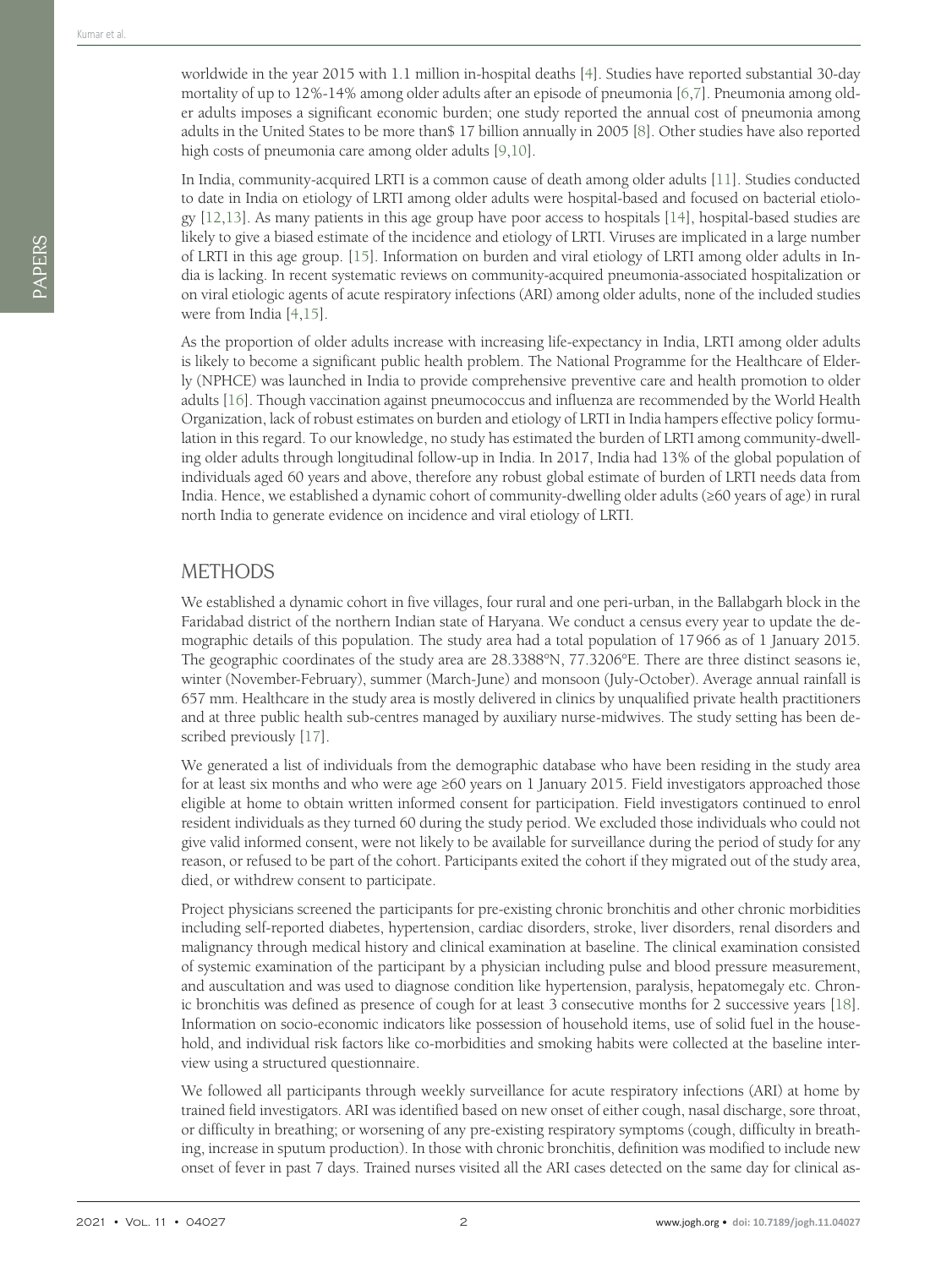worldwide in the year 2015 with 1.1 million in-hospital deaths [4]. Studies have reported substantial 30-day mortality of up to 12%-14% among older adults after an episode of pneumonia [6,7]. Pneumonia among older adults imposes a significant economic burden; one study reported the annual cost of pneumonia among adults in the United States to be more than\$ 17 billion annually in 2005 [8]. Other studies have also reported high costs of pneumonia care among older adults [9,10].

In India, community-acquired LRTI is a common cause of death among older adults [11]. Studies conducted to date in India on etiology of LRTI among older adults were hospital-based and focused on bacterial etiology [12,13]. As many patients in this age group have poor access to hospitals [14], hospital-based studies are likely to give a biased estimate of the incidence and etiology of LRTI. Viruses are implicated in a large number of LRTI in this age group. [15]. Information on burden and viral etiology of LRTI among older adults in India is lacking. In recent systematic reviews on community-acquired pneumonia-associated hospitalization or on viral etiologic agents of acute respiratory infections (ARI) among older adults, none of the included studies were from India [4,15].

As the proportion of older adults increase with increasing life-expectancy in India, LRTI among older adults is likely to become a significant public health problem. The National Programme for the Healthcare of Elderly (NPHCE) was launched in India to provide comprehensive preventive care and health promotion to older adults [16]. Though vaccination against pneumococcus and influenza are recommended by the World Health Organization, lack of robust estimates on burden and etiology of LRTI in India hampers effective policy formulation in this regard. To our knowledge, no study has estimated the burden of LRTI among community-dwelling older adults through longitudinal follow-up in India. In 2017, India had 13% of the global population of individuals aged 60 years and above, therefore any robust global estimate of burden of LRTI needs data from India. Hence, we established a dynamic cohort of community-dwelling older adults (≥60 years of age) in rural north India to generate evidence on incidence and viral etiology of LRTI.

### METHODS

We established a dynamic cohort in five villages, four rural and one peri-urban, in the Ballabgarh block in the Faridabad district of the northern Indian state of Haryana. We conduct a census every year to update the demographic details of this population. The study area had a total population of 17 966 as of 1 January 2015. The geographic coordinates of the study area are 28.3388°N, 77.3206°E. There are three distinct seasons ie, winter (November-February), summer (March-June) and monsoon (July-October). Average annual rainfall is 657 mm. Healthcare in the study area is mostly delivered in clinics by unqualified private health practitioners and at three public health sub-centres managed by auxiliary nurse-midwives. The study setting has been described previously [17].

We generated a list of individuals from the demographic database who have been residing in the study area for at least six months and who were age ≥60 years on 1 January 2015. Field investigators approached those eligible at home to obtain written informed consent for participation. Field investigators continued to enrol resident individuals as they turned 60 during the study period. We excluded those individuals who could not give valid informed consent, were not likely to be available for surveillance during the period of study for any reason, or refused to be part of the cohort. Participants exited the cohort if they migrated out of the study area, died, or withdrew consent to participate.

Project physicians screened the participants for pre-existing chronic bronchitis and other chronic morbidities including self-reported diabetes, hypertension, cardiac disorders, stroke, liver disorders, renal disorders and malignancy through medical history and clinical examination at baseline. The clinical examination consisted of systemic examination of the participant by a physician including pulse and blood pressure measurement, and auscultation and was used to diagnose condition like hypertension, paralysis, hepatomegaly etc. Chronic bronchitis was defined as presence of cough for at least 3 consecutive months for 2 successive years [18]. Information on socio-economic indicators like possession of household items, use of solid fuel in the household, and individual risk factors like co-morbidities and smoking habits were collected at the baseline interview using a structured questionnaire.

We followed all participants through weekly surveillance for acute respiratory infections (ARI) at home by trained field investigators. ARI was identified based on new onset of either cough, nasal discharge, sore throat, or difficulty in breathing; or worsening of any pre-existing respiratory symptoms (cough, difficulty in breathing, increase in sputum production). In those with chronic bronchitis, definition was modified to include new onset of fever in past 7 days. Trained nurses visited all the ARI cases detected on the same day for clinical as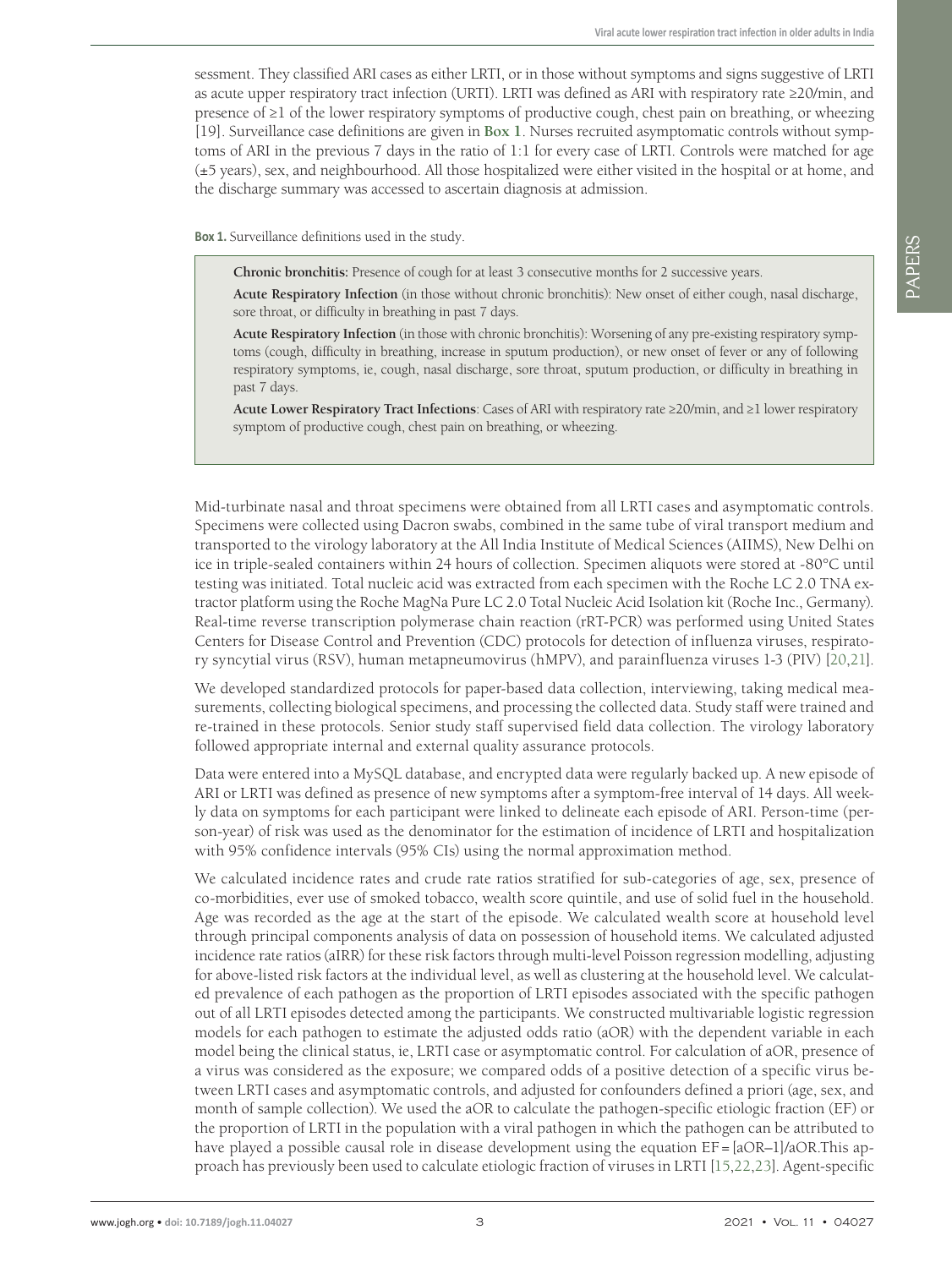sessment. They classified ARI cases as either LRTI, or in those without symptoms and signs suggestive of LRTI as acute upper respiratory tract infection (URTI). LRTI was defined as ARI with respiratory rate ≥20/min, and presence of ≥1 of the lower respiratory symptoms of productive cough, chest pain on breathing, or wheezing [19]. Surveillance case definitions are given in **Box 1**. Nurses recruited asymptomatic controls without symptoms of ARI in the previous 7 days in the ratio of 1:1 for every case of LRTI. Controls were matched for age (±5 years), sex, and neighbourhood. All those hospitalized were either visited in the hospital or at home, and the discharge summary was accessed to ascertain diagnosis at admission.

**Box 1.** Surveillance definitions used in the study.

**Chronic bronchitis:** Presence of cough for at least 3 consecutive months for 2 successive years.

**Acute Respiratory Infection** (in those without chronic bronchitis): New onset of either cough, nasal discharge, sore throat, or difficulty in breathing in past 7 days.

**Acute Respiratory Infection** (in those with chronic bronchitis): Worsening of any pre-existing respiratory symptoms (cough, difficulty in breathing, increase in sputum production), or new onset of fever or any of following respiratory symptoms, ie, cough, nasal discharge, sore throat, sputum production, or difficulty in breathing in past 7 days.

**Acute Lower Respiratory Tract Infections**: Cases of ARI with respiratory rate ≥20/min, and ≥1 lower respiratory symptom of productive cough, chest pain on breathing, or wheezing.

Mid-turbinate nasal and throat specimens were obtained from all LRTI cases and asymptomatic controls. Specimens were collected using Dacron swabs, combined in the same tube of viral transport medium and transported to the virology laboratory at the All India Institute of Medical Sciences (AIIMS), New Delhi on ice in triple-sealed containers within 24 hours of collection. Specimen aliquots were stored at -80°C until testing was initiated. Total nucleic acid was extracted from each specimen with the Roche LC 2.0 TNA extractor platform using the Roche MagNa Pure LC 2.0 Total Nucleic Acid Isolation kit (Roche Inc., Germany). Real-time reverse transcription polymerase chain reaction (rRT-PCR) was performed using United States Centers for Disease Control and Prevention (CDC) protocols for detection of influenza viruses, respiratory syncytial virus (RSV), human metapneumovirus (hMPV), and parainfluenza viruses 1-3 (PIV) [20,21].

We developed standardized protocols for paper-based data collection, interviewing, taking medical measurements, collecting biological specimens, and processing the collected data. Study staff were trained and re-trained in these protocols. Senior study staff supervised field data collection. The virology laboratory followed appropriate internal and external quality assurance protocols.

Data were entered into a MySQL database, and encrypted data were regularly backed up. A new episode of ARI or LRTI was defined as presence of new symptoms after a symptom-free interval of 14 days. All weekly data on symptoms for each participant were linked to delineate each episode of ARI. Person-time (person-year) of risk was used as the denominator for the estimation of incidence of LRTI and hospitalization with 95% confidence intervals (95% CIs) using the normal approximation method.

We calculated incidence rates and crude rate ratios stratified for sub-categories of age, sex, presence of co-morbidities, ever use of smoked tobacco, wealth score quintile, and use of solid fuel in the household. Age was recorded as the age at the start of the episode. We calculated wealth score at household level through principal components analysis of data on possession of household items. We calculated adjusted incidence rate ratios (aIRR) for these risk factors through multi-level Poisson regression modelling, adjusting for above-listed risk factors at the individual level, as well as clustering at the household level. We calculated prevalence of each pathogen as the proportion of LRTI episodes associated with the specific pathogen out of all LRTI episodes detected among the participants. We constructed multivariable logistic regression models for each pathogen to estimate the adjusted odds ratio (aOR) with the dependent variable in each model being the clinical status, ie, LRTI case or asymptomatic control. For calculation of aOR, presence of a virus was considered as the exposure; we compared odds of a positive detection of a specific virus between LRTI cases and asymptomatic controls, and adjusted for confounders defined a priori (age, sex, and month of sample collection). We used the aOR to calculate the pathogen-specific etiologic fraction (EF) or the proportion of LRTI in the population with a viral pathogen in which the pathogen can be attributed to have played a possible causal role in disease development using the equation EF = [aOR–1]/aOR.This approach has previously been used to calculate etiologic fraction of viruses in LRTI [15,22,23]. Agent-specific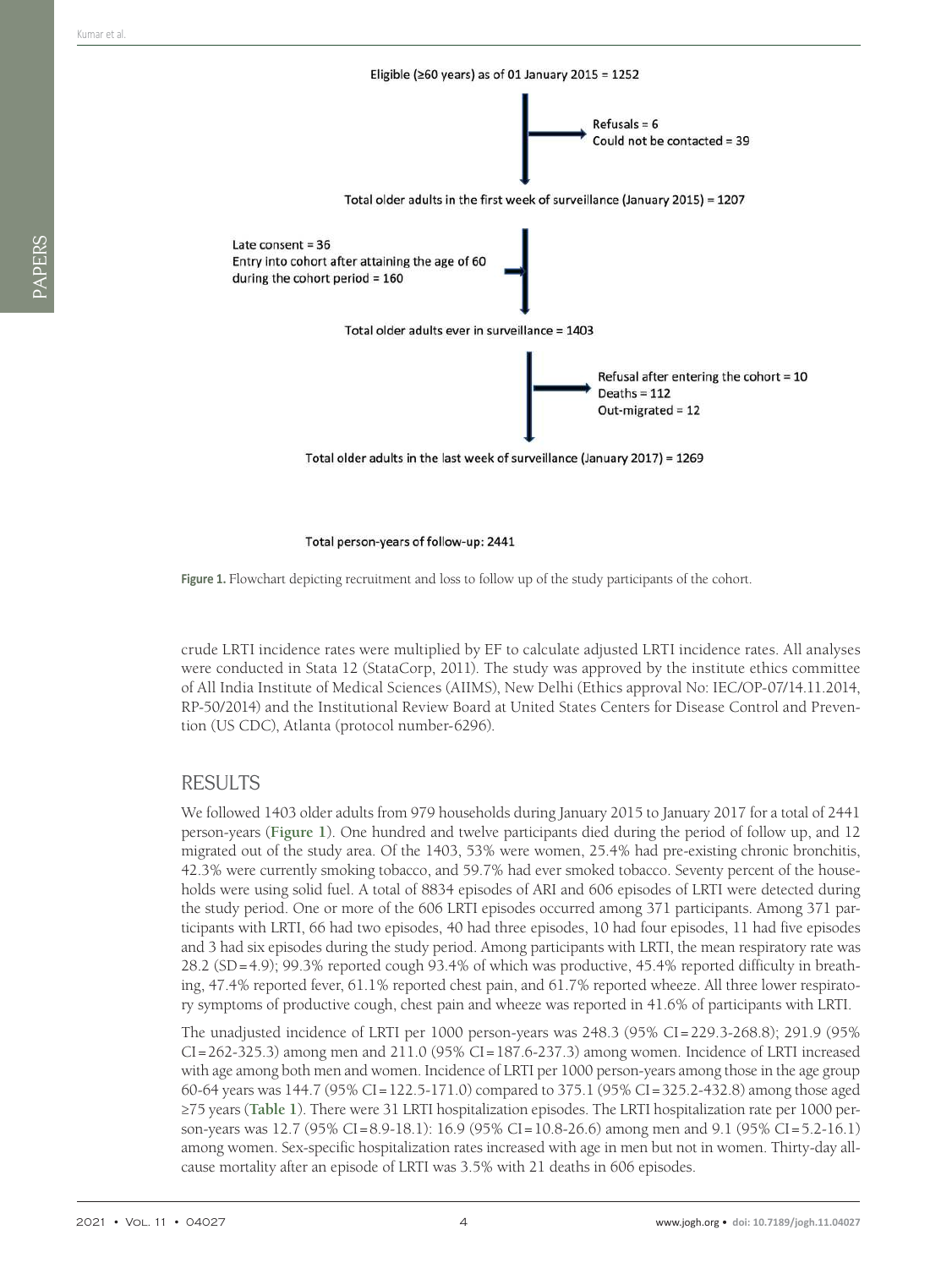

Total person-years of follow-up: 2441

**Figure 1.** Flowchart depicting recruitment and loss to follow up of the study participants of the cohort.

crude LRTI incidence rates were multiplied by EF to calculate adjusted LRTI incidence rates. All analyses were conducted in Stata 12 (StataCorp, 2011). The study was approved by the institute ethics committee of All India Institute of Medical Sciences (AIIMS), New Delhi (Ethics approval No: IEC/OP-07/14.11.2014, RP-50/2014) and the Institutional Review Board at United States Centers for Disease Control and Prevention (US CDC), Atlanta (protocol number-6296).

#### RESULTS

We followed 1403 older adults from 979 households during January 2015 to January 2017 for a total of 2441 person-years (**Figure 1**). One hundred and twelve participants died during the period of follow up, and 12 migrated out of the study area. Of the 1403, 53% were women, 25.4% had pre-existing chronic bronchitis, 42.3% were currently smoking tobacco, and 59.7% had ever smoked tobacco. Seventy percent of the households were using solid fuel. A total of 8834 episodes of ARI and 606 episodes of LRTI were detected during the study period. One or more of the 606 LRTI episodes occurred among 371 participants. Among 371 participants with LRTI, 66 had two episodes, 40 had three episodes, 10 had four episodes, 11 had five episodes and 3 had six episodes during the study period. Among participants with LRTI, the mean respiratory rate was 28.2 (SD = 4.9); 99.3% reported cough 93.4% of which was productive, 45.4% reported difficulty in breathing, 47.4% reported fever, 61.1% reported chest pain, and 61.7% reported wheeze. All three lower respiratory symptoms of productive cough, chest pain and wheeze was reported in 41.6% of participants with LRTI.

The unadjusted incidence of LRTI per 1000 person-years was 248.3 (95% CI = 229.3-268.8); 291.9 (95% CI = 262-325.3) among men and 211.0 (95% CI = 187.6-237.3) among women. Incidence of LRTI increased with age among both men and women. Incidence of LRTI per 1000 person-years among those in the age group 60-64 years was 144.7 (95% CI = 122.5-171.0) compared to 375.1 (95% CI = 325.2-432.8) among those aged ≥75 years (**Table 1**). There were 31 LRTI hospitalization episodes. The LRTI hospitalization rate per 1000 person-years was 12.7 (95% CI = 8.9-18.1): 16.9 (95% CI = 10.8-26.6) among men and 9.1 (95% CI = 5.2-16.1) among women. Sex-specific hospitalization rates increased with age in men but not in women. Thirty-day allcause mortality after an episode of LRTI was 3.5% with 21 deaths in 606 episodes.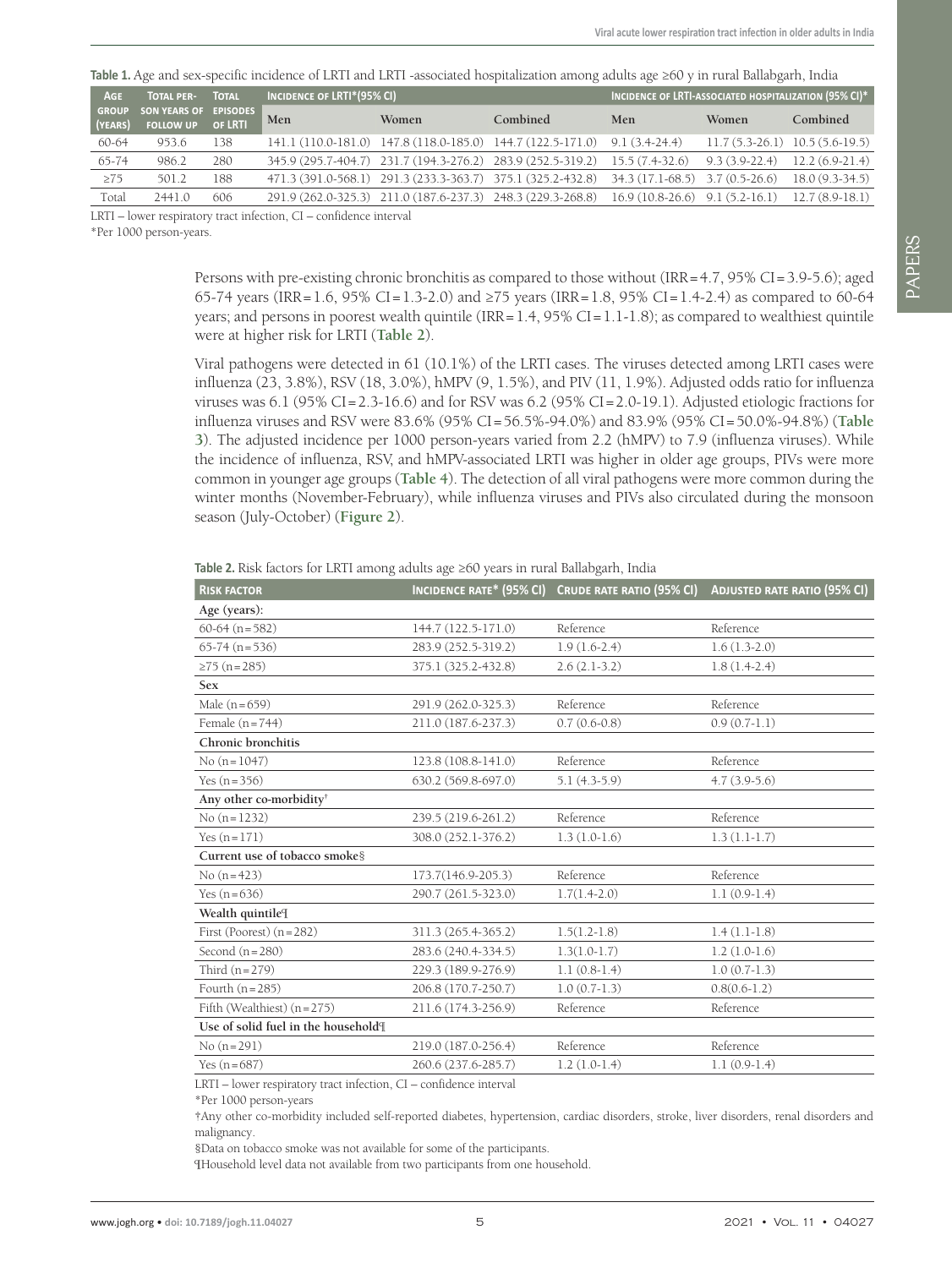| <b>AGE</b>              | <b>TOTAL PER-</b>                         | <b>TOTAL</b> | INCIDENCE OF LRTI*(95% CI) |       |                                                                                             | INCIDENCE OF LRTI-ASSOCIATED HOSPITALIZATION (95% CI)* |                                   |                  |
|-------------------------|-------------------------------------------|--------------|----------------------------|-------|---------------------------------------------------------------------------------------------|--------------------------------------------------------|-----------------------------------|------------------|
| <b>GROUP</b><br>(YEARS) | SON YEARS OF EPISODES<br><b>FOLLOW UP</b> | OF LRTI      | Men                        | Women | Combined                                                                                    | Men                                                    | Women                             | Combined         |
| 60-64                   | 953.6                                     | 138          |                            |       | 141.1 (110.0-181.0) 147.8 (118.0-185.0) 144.7 (122.5-171.0) 9.1 (3.4-24.4)                  |                                                        | $11.7(5.3-26.1)$ $10.5(5.6-19.5)$ |                  |
| $65 - 74$               | 986.2                                     | 280          |                            |       | 345.9 (295.7-404.7) 231.7 (194.3-276.2) 283.9 (252.5-319.2) 15.5 (7.4-32.6)                 |                                                        | $9.3(3.9-22.4)$ 12.2 (6.9-21.4)   |                  |
| $\geq 75$               | 501.2                                     | 188          |                            |       | 471.3 (391.0-568.1) 291.3 (233.3-363.7) 375.1 (325.2-432.8) 34.3 (17.1-68.5) 3.7 (0.5-26.6) |                                                        |                                   | $18.0(9.3-34.5)$ |
| Total                   | 2441.0                                    | 606          |                            |       | 291.9 (262.0-325.3) 211.0 (187.6-237.3) 248.3 (229.3-268.8) 16.9 (10.8-26.6) 9.1 (5.2-16.1) |                                                        |                                   | $12.7(8.9-18.1)$ |

**Table 1.** Age and sex-specific incidence of LRTI and LRTI -associated hospitalization among adults age ≥60 y in rural Ballabgarh, India

LRTI – lower respiratory tract infection, CI – confidence interval

\*Per 1000 person-years.

Persons with pre-existing chronic bronchitis as compared to those without (IRR =  $4.7$ ,  $95\%$  CI =  $3.9-5.6$ ); aged 65-74 years (IRR = 1.6, 95% CI = 1.3-2.0) and ≥75 years (IRR = 1.8, 95% CI = 1.4-2.4) as compared to 60-64 years; and persons in poorest wealth quintile  $\text{(IRR = 1.4, 95\% CI = 1.1-1.8)}$ ; as compared to wealthiest quintile were at higher risk for LRTI (**Table 2**).

Viral pathogens were detected in 61 (10.1%) of the LRTI cases. The viruses detected among LRTI cases were influenza (23, 3.8%), RSV (18, 3.0%), hMPV (9, 1.5%), and PIV (11, 1.9%). Adjusted odds ratio for influenza viruses was  $6.1$  (95% CI=2.3-16.6) and for RSV was  $6.2$  (95% CI=2.0-19.1). Adjusted etiologic fractions for influenza viruses and RSV were 83.6% (95% CI = 56.5%-94.0%) and 83.9% (95% CI = 50.0%-94.8%) (**Table 3**). The adjusted incidence per 1000 person-years varied from 2.2 (hMPV) to 7.9 (influenza viruses). While the incidence of influenza, RSV, and hMPV-associated LRTI was higher in older age groups, PIVs were more common in younger age groups (**Table 4**). The detection of all viral pathogens were more common during the winter months (November-February), while influenza viruses and PIVs also circulated during the monsoon season (July-October) (**Figure 2**).

**Table 2.** Risk factors for LRTI among adults age ≥60 years in rural Ballabgarh, India

| <b>INCIDENCE RATE* (95% CI)</b> | <b>CRUDE RATE RATIO (95% CI)</b> | <b>ADJUSTED RATE RATIO (95% CI)</b> |
|---------------------------------|----------------------------------|-------------------------------------|
|                                 |                                  |                                     |
| 144.7 (122.5-171.0)             | Reference                        | Reference                           |
| 283.9 (252.5-319.2)             | $1.9(1.6-2.4)$                   | $1.6(1.3-2.0)$                      |
| 375.1 (325.2-432.8)             | $2.6(2.1-3.2)$                   | $1.8(1.4-2.4)$                      |
|                                 |                                  |                                     |
| 291.9 (262.0-325.3)             | Reference                        | Reference                           |
| 211.0 (187.6-237.3)             | $0.7(0.6-0.8)$                   | $0.9(0.7-1.1)$                      |
|                                 |                                  |                                     |
| 123.8 (108.8-141.0)             | Reference                        | Reference                           |
| 630.2 (569.8-697.0)             | $5.1(4.3-5.9)$                   | $4.7(3.9-5.6)$                      |
|                                 |                                  |                                     |
| 239.5 (219.6-261.2)             | Reference                        | Reference                           |
| 308.0 (252.1-376.2)             | $1.3(1.0-1.6)$                   | $1.3(1.1-1.7)$                      |
|                                 |                                  |                                     |
| 173.7(146.9-205.3)              | Reference                        | Reference                           |
| 290.7 (261.5-323.0)             | $1.7(1.4-2.0)$                   | $1.1(0.9-1.4)$                      |
|                                 |                                  |                                     |
| 311.3 (265.4-365.2)             | $1.5(1.2-1.8)$                   | $1.4(1.1-1.8)$                      |
| 283.6 (240.4-334.5)             | $1.3(1.0-1.7)$                   | $1.2(1.0-1.6)$                      |
| 229.3 (189.9-276.9)             | $1.1(0.8-1.4)$                   | $1.0(0.7-1.3)$                      |
| 206.8 (170.7-250.7)             | $1.0(0.7-1.3)$                   | $0.8(0.6-1.2)$                      |
| 211.6 (174.3-256.9)             | Reference                        | Reference                           |
|                                 |                                  |                                     |
| 219.0 (187.0-256.4)             | Reference                        | Reference                           |
| 260.6 (237.6-285.7)             | $1.2(1.0-1.4)$                   | $1.1(0.9-1.4)$                      |
|                                 |                                  |                                     |

LRTI – lower respiratory tract infection, CI – confidence interval

\*Per 1000 person-years

†Any other co-morbidity included self-reported diabetes, hypertension, cardiac disorders, stroke, liver disorders, renal disorders and malignancy.

§Data on tobacco smoke was not available for some of the participants.

¶Household level data not available from two participants from one household.

PAPERS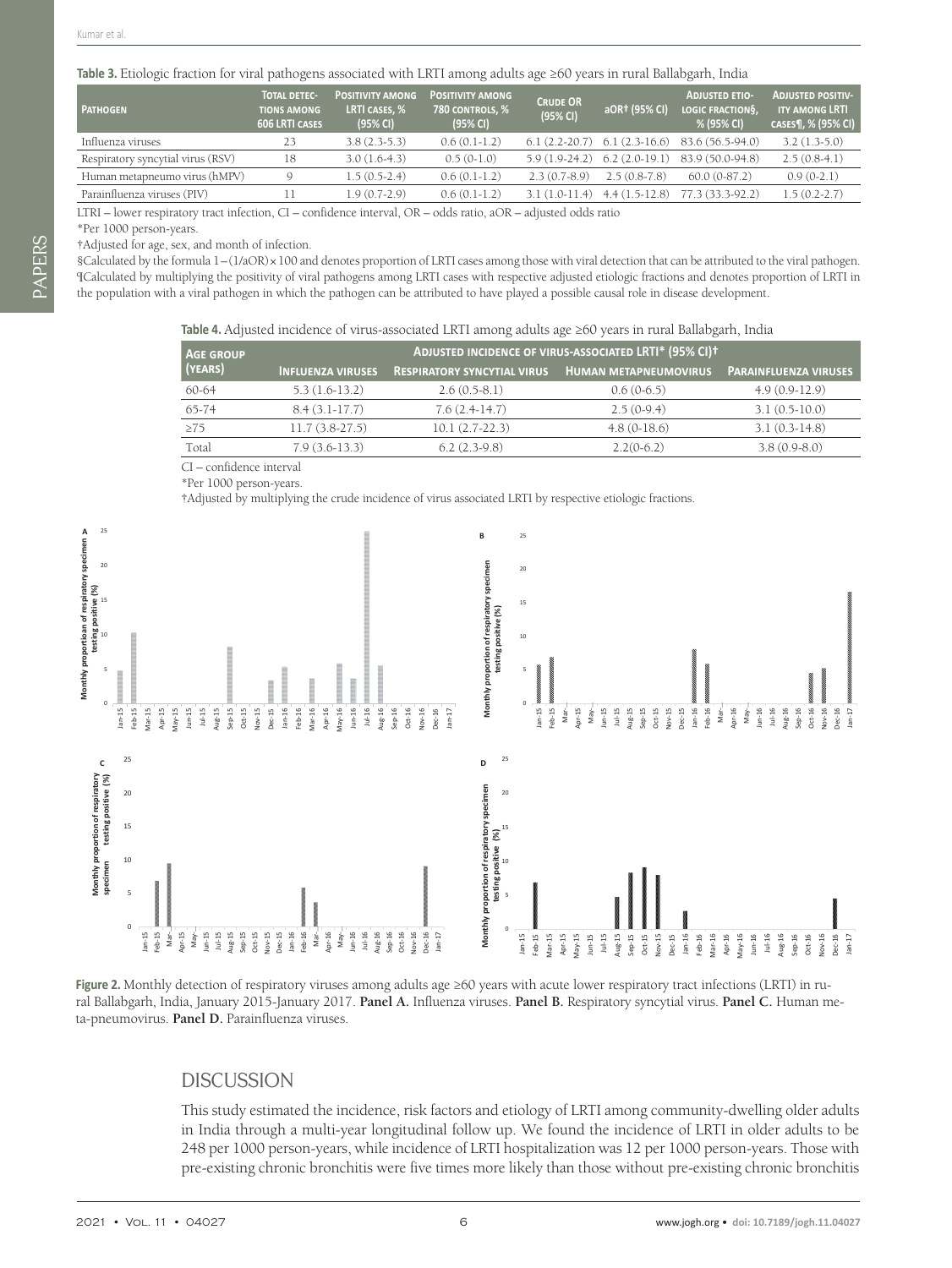#### **Table 3.** Etiologic fraction for viral pathogens associated with LRTI among adults age ≥60 years in rural Ballabgarh, India

| <b>PATHOGEN</b>                   | <b>TOTAL DETEC-</b><br><b>TIONS AMONG</b><br><b>606 LRTI CASES</b> | <b>POSITIVITY AMONG</b><br>LRTI CASES, %<br>(95% CI) | <b>POSITIVITY AMONG</b><br>780 CONTROLS, %<br>(95% CI) | <b>CRUDE OR</b><br>(95% CI) | aOR† (95% CI)   | <b>ADJUSTED ETIO-</b><br><b>LOGIC FRACTIONS.</b><br>% (95% CI) | <b>ADJUSTED POSITIV-</b><br><b>ITY AMONG LRTI</b><br>CASES¶, % (95% CI) |
|-----------------------------------|--------------------------------------------------------------------|------------------------------------------------------|--------------------------------------------------------|-----------------------------|-----------------|----------------------------------------------------------------|-------------------------------------------------------------------------|
| Influenza viruses                 | 23                                                                 | $3.8(2.3-5.3)$                                       | $0.6(0.1-1.2)$                                         | $6.1(2.2-20.7)$             |                 | $6.1(2.3-16.6)$ 83.6 (56.5-94.0)                               | $3.2(1.3-5.0)$                                                          |
| Respiratory syncytial virus (RSV) | 18                                                                 | $3.0(1.6-4.3)$                                       | $0.5(0-1.0)$                                           | $5.9(1.9-24.2)$             |                 | $6.2$ $(2.0-19.1)$ $83.9$ $(50.0-94.8)$                        | $2.5(0.8-4.1)$                                                          |
| Human metapneumo virus (hMPV)     | Q                                                                  | $1.5(0.5-2.4)$                                       | $0.6(0.1-1.2)$                                         | $2.3(0.7-8.9)$              | $2.5(0.8-7.8)$  | $60.0(0-87.2)$                                                 | $0.9(0-2.1)$                                                            |
| Parainfluenza viruses (PIV)       |                                                                    | $1.9(0.7-2.9)$                                       | $0.6(0.1-1.2)$                                         | $3.1(1.0-11.4)$             | $4.4(1.5-12.8)$ | 77.3 (33.3-92.2)                                               | $1.5(0.2-2.7)$                                                          |
|                                   |                                                                    |                                                      |                                                        |                             |                 |                                                                |                                                                         |

LTRI – lower respiratory tract infection, CI – confidence interval, OR – odds ratio, aOR – adjusted odds ratio

\*Per 1000 person-years. †Adjusted for age, sex, and month of infection.

§Calculated by the formula  $1-(1/aOR) \times 100$  and denotes proportion of LRTI cases among those with viral detection that can be attributed to the viral pathogen. ¶Calculated by multiplying the positivity of viral pathogens among LRTI cases with respective adjusted etiologic fractions and denotes proportion of LRTI in the population with a viral pathogen in which the pathogen can be attributed to have played a possible causal role in disease development.

**Table 4.** Adjusted incidence of virus-associated LRTI among adults age ≥60 years in rural Ballabgarh, India

| <b>AGE GROUP</b> | ADJUSTED INCIDENCE OF VIRUS-ASSOCIATED LRTI* (95% CI) <sup>+</sup> |                                    |                              |                              |  |  |  |
|------------------|--------------------------------------------------------------------|------------------------------------|------------------------------|------------------------------|--|--|--|
| (YEARS)          | <b>INFLUENZA VIRUSES</b>                                           | <b>RESPIRATORY SYNCYTIAL VIRUS</b> | <b>HUMAN METAPNEUMOVIRUS</b> | <b>PARAINFLUENZA VIRUSES</b> |  |  |  |
| 60-64            | $5.3(1.6-13.2)$                                                    | $2.6(0.5-8.1)$                     | $0.6(0-6.5)$                 | $4.9(0.9-12.9)$              |  |  |  |
| 65-74            | $8.4(3.1-17.7)$                                                    | $7.6(2.4-14.7)$                    | $2.5(0-9.4)$                 | $3.1(0.5-10.0)$              |  |  |  |
| $\geq 75$        | $11.7(3.8-27.5)$                                                   | $10.1(2.7-22.3)$                   | $4.8(0-18.6)$                | $3.1(0.3-14.8)$              |  |  |  |
| Total            | $7.9(3.6-13.3)$                                                    | $6.2(2.3-9.8)$                     | $2.2(0-6.2)$                 | $3.8(0.9-8.0)$               |  |  |  |

CI – confidence interval

\*Per 1000 person-years.

†Adjusted by multiplying the crude incidence of virus associated LRTI by respective etiologic fractions.



**Figure 2.** Monthly detection of respiratory viruses among adults age ≥60 years with acute lower respiratory tract infections (LRTI) in rural Ballabgarh, India, January 2015-January 2017. **Panel A.** Influenza viruses. **Panel B.** Respiratory syncytial virus. **Panel C.** Human meta-pneumovirus. **Panel D.** Parainfluenza viruses.

#### DISCUSSION

This study estimated the incidence, risk factors and etiology of LRTI among community-dwelling older adults in India through a multi-year longitudinal follow up. We found the incidence of LRTI in older adults to be 248 per 1000 person-years, while incidence of LRTI hospitalization was 12 per 1000 person-years. Those with pre-existing chronic bronchitis were five times more likely than those without pre-existing chronic bronchitis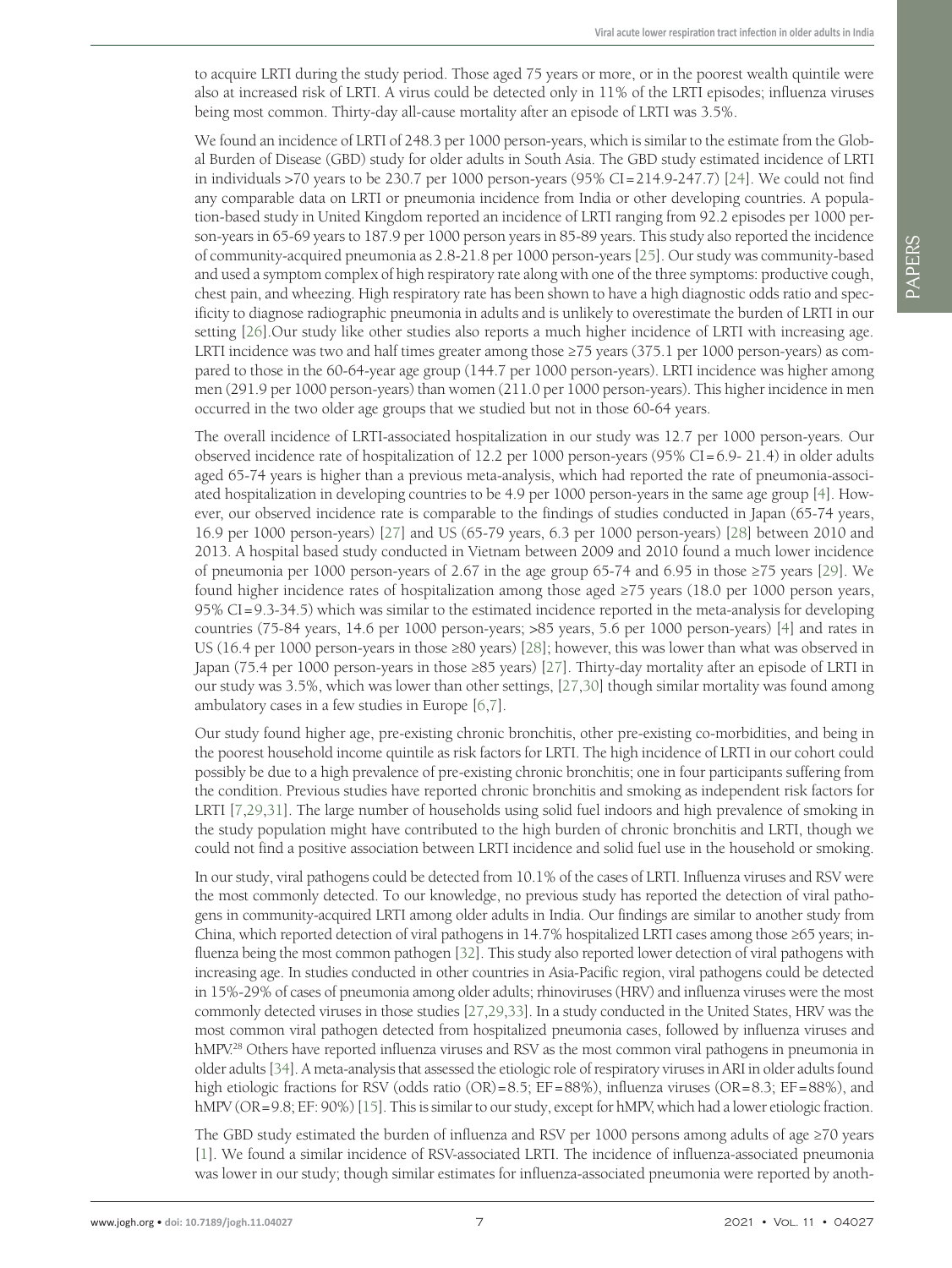to acquire LRTI during the study period. Those aged 75 years or more, or in the poorest wealth quintile were also at increased risk of LRTI. A virus could be detected only in 11% of the LRTI episodes; influenza viruses being most common. Thirty-day all-cause mortality after an episode of LRTI was 3.5%.

We found an incidence of LRTI of 248.3 per 1000 person-years, which is similar to the estimate from the Global Burden of Disease (GBD) study for older adults in South Asia. The GBD study estimated incidence of LRTI in individuals  $>70$  years to be 230.7 per 1000 person-years  $(95\%$  CI=214.9-247.7) [24]. We could not find any comparable data on LRTI or pneumonia incidence from India or other developing countries. A population-based study in United Kingdom reported an incidence of LRTI ranging from 92.2 episodes per 1000 person-years in 65-69 years to 187.9 per 1000 person years in 85-89 years. This study also reported the incidence of community-acquired pneumonia as 2.8-21.8 per 1000 person-years [25]. Our study was community-based and used a symptom complex of high respiratory rate along with one of the three symptoms: productive cough, chest pain, and wheezing. High respiratory rate has been shown to have a high diagnostic odds ratio and specificity to diagnose radiographic pneumonia in adults and is unlikely to overestimate the burden of LRTI in our setting [26].Our study like other studies also reports a much higher incidence of LRTI with increasing age. LRTI incidence was two and half times greater among those ≥75 years (375.1 per 1000 person-years) as compared to those in the 60-64-year age group (144.7 per 1000 person-years). LRTI incidence was higher among men (291.9 per 1000 person-years) than women (211.0 per 1000 person-years). This higher incidence in men occurred in the two older age groups that we studied but not in those 60-64 years.

The overall incidence of LRTI-associated hospitalization in our study was 12.7 per 1000 person-years. Our observed incidence rate of hospitalization of 12.2 per 1000 person-years  $(95\%$  CI=6.9-21.4) in older adults aged 65-74 years is higher than a previous meta-analysis, which had reported the rate of pneumonia-associated hospitalization in developing countries to be 4.9 per 1000 person-years in the same age group [4]. However, our observed incidence rate is comparable to the findings of studies conducted in Japan (65-74 years, 16.9 per 1000 person-years) [27] and US (65-79 years, 6.3 per 1000 person-years) [28] between 2010 and 2013. A hospital based study conducted in Vietnam between 2009 and 2010 found a much lower incidence of pneumonia per 1000 person-years of 2.67 in the age group 65-74 and 6.95 in those ≥75 years [29]. We found higher incidence rates of hospitalization among those aged ≥75 years (18.0 per 1000 person years, 95% CI = 9.3-34.5) which was similar to the estimated incidence reported in the meta-analysis for developing countries (75-84 years, 14.6 per 1000 person-years; >85 years, 5.6 per 1000 person-years) [4] and rates in US (16.4 per 1000 person-years in those ≥80 years) [28]; however, this was lower than what was observed in Japan (75.4 per 1000 person-years in those ≥85 years) [27]. Thirty-day mortality after an episode of LRTI in our study was 3.5%, which was lower than other settings, [27,30] though similar mortality was found among ambulatory cases in a few studies in Europe [6,7].

Our study found higher age, pre-existing chronic bronchitis, other pre-existing co-morbidities, and being in the poorest household income quintile as risk factors for LRTI. The high incidence of LRTI in our cohort could possibly be due to a high prevalence of pre-existing chronic bronchitis; one in four participants suffering from the condition. Previous studies have reported chronic bronchitis and smoking as independent risk factors for LRTI [7,29,31]. The large number of households using solid fuel indoors and high prevalence of smoking in the study population might have contributed to the high burden of chronic bronchitis and LRTI, though we could not find a positive association between LRTI incidence and solid fuel use in the household or smoking.

In our study, viral pathogens could be detected from 10.1% of the cases of LRTI. Influenza viruses and RSV were the most commonly detected. To our knowledge, no previous study has reported the detection of viral pathogens in community-acquired LRTI among older adults in India. Our findings are similar to another study from China, which reported detection of viral pathogens in 14.7% hospitalized LRTI cases among those ≥65 years; influenza being the most common pathogen [32]. This study also reported lower detection of viral pathogens with increasing age. In studies conducted in other countries in Asia-Pacific region, viral pathogens could be detected in 15%-29% of cases of pneumonia among older adults; rhinoviruses (HRV) and influenza viruses were the most commonly detected viruses in those studies [27,29,33]. In a study conducted in the United States, HRV was the most common viral pathogen detected from hospitalized pneumonia cases, followed by influenza viruses and hMPV.<sup>28</sup> Others have reported influenza viruses and RSV as the most common viral pathogens in pneumonia in older adults [34]. A meta-analysis that assessed the etiologic role of respiratory viruses in ARI in older adults found high etiologic fractions for RSV (odds ratio (OR)=8.5; EF=88%), influenza viruses (OR=8.3; EF=88%), and hMPV (OR=9.8; EF: 90%) [15]. This is similar to our study, except for hMPV, which had a lower etiologic fraction.

The GBD study estimated the burden of influenza and RSV per 1000 persons among adults of age  $\geq$ 70 years [1]. We found a similar incidence of RSV-associated LRTI. The incidence of influenza-associated pneumonia was lower in our study; though similar estimates for influenza-associated pneumonia were reported by anoth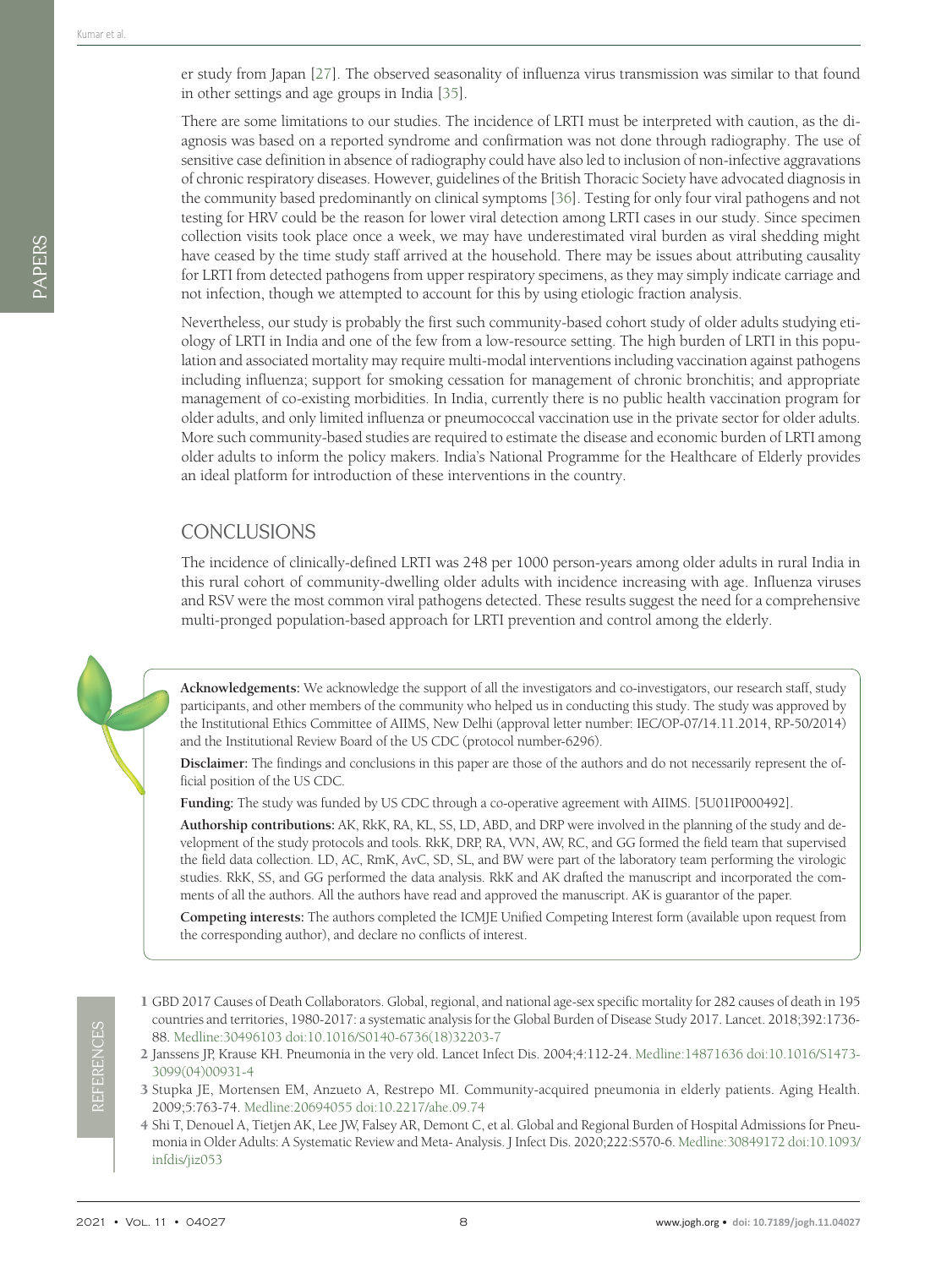DADERS PAPERS er study from Japan [27]. The observed seasonality of influenza virus transmission was similar to that found in other settings and age groups in India [35].

There are some limitations to our studies. The incidence of LRTI must be interpreted with caution, as the diagnosis was based on a reported syndrome and confirmation was not done through radiography. The use of sensitive case definition in absence of radiography could have also led to inclusion of non-infective aggravations of chronic respiratory diseases. However, guidelines of the British Thoracic Society have advocated diagnosis in the community based predominantly on clinical symptoms [36]. Testing for only four viral pathogens and not testing for HRV could be the reason for lower viral detection among LRTI cases in our study. Since specimen collection visits took place once a week, we may have underestimated viral burden as viral shedding might have ceased by the time study staff arrived at the household. There may be issues about attributing causality for LRTI from detected pathogens from upper respiratory specimens, as they may simply indicate carriage and not infection, though we attempted to account for this by using etiologic fraction analysis.

Nevertheless, our study is probably the first such community-based cohort study of older adults studying etiology of LRTI in India and one of the few from a low-resource setting. The high burden of LRTI in this population and associated mortality may require multi-modal interventions including vaccination against pathogens including influenza; support for smoking cessation for management of chronic bronchitis; and appropriate management of co-existing morbidities. In India, currently there is no public health vaccination program for older adults, and only limited influenza or pneumococcal vaccination use in the private sector for older adults. More such community-based studies are required to estimate the disease and economic burden of LRTI among older adults to inform the policy makers. India's National Programme for the Healthcare of Elderly provides an ideal platform for introduction of these interventions in the country.

## **CONCLUSIONS**

The incidence of clinically-defined LRTI was 248 per 1000 person-years among older adults in rural India in this rural cohort of community-dwelling older adults with incidence increasing with age. Influenza viruses and RSV were the most common viral pathogens detected. These results suggest the need for a comprehensive multi-pronged population-based approach for LRTI prevention and control among the elderly.

**Acknowledgements:** We acknowledge the support of all the investigators and co-investigators, our research staff, study participants, and other members of the community who helped us in conducting this study. The study was approved by the Institutional Ethics Committee of AIIMS, New Delhi (approval letter number: IEC/OP-07/14.11.2014, RP-50/2014) and the Institutional Review Board of the US CDC (protocol number-6296).

**Disclaimer:** The findings and conclusions in this paper are those of the authors and do not necessarily represent the official position of the US CDC.

**Funding:** The study was funded by US CDC through a co-operative agreement with AIIMS. [5U01IP000492].

**Authorship contributions:** AK, RkK, RA, KL, SS, LD, ABD, and DRP were involved in the planning of the study and development of the study protocols and tools. RkK, DRP, RA, VVN, AW, RC, and GG formed the field team that supervised the field data collection. LD, AC, RmK, AvC, SD, SL, and BW were part of the laboratory team performing the virologic studies. RkK, SS, and GG performed the data analysis. RkK and AK drafted the manuscript and incorporated the comments of all the authors. All the authors have read and approved the manuscript. AK is guarantor of the paper.

**Competing interests:** The authors completed the ICMJE Unified Competing Interest form (available upon request from the corresponding author), and declare no conflicts of interest.

- 1 GBD 2017 Causes of Death Collaborators. Global, regional, and national age-sex specific mortality for 282 causes of death in 195 countries and territories, 1980-2017: a systematic analysis for the Global Burden of Disease Study 2017. Lancet. 2018;392:1736- 88. Medline:30496103 doi:10.1016/S0140-6736(18)32203-7
- 2 Janssens JP, Krause KH. Pneumonia in the very old. Lancet Infect Dis. 2004;4:112-24. Medline:14871636 doi:10.1016/S1473- 3099(04)00931-4
- 3 Stupka JE, Mortensen EM, Anzueto A, Restrepo MI. Community-acquired pneumonia in elderly patients. Aging Health. 2009;5:763-74. Medline:20694055 doi:10.2217/ahe.09.74
- 4 Shi T, Denouel A, Tietjen AK, Lee JW, Falsey AR, Demont C, et al. Global and Regional Burden of Hospital Admissions for Pneumonia in Older Adults: A Systematic Review and Meta- Analysis. J Infect Dis. 2020;222:S570-6. Medline:30849172 doi:10.1093/ infdis/jiz053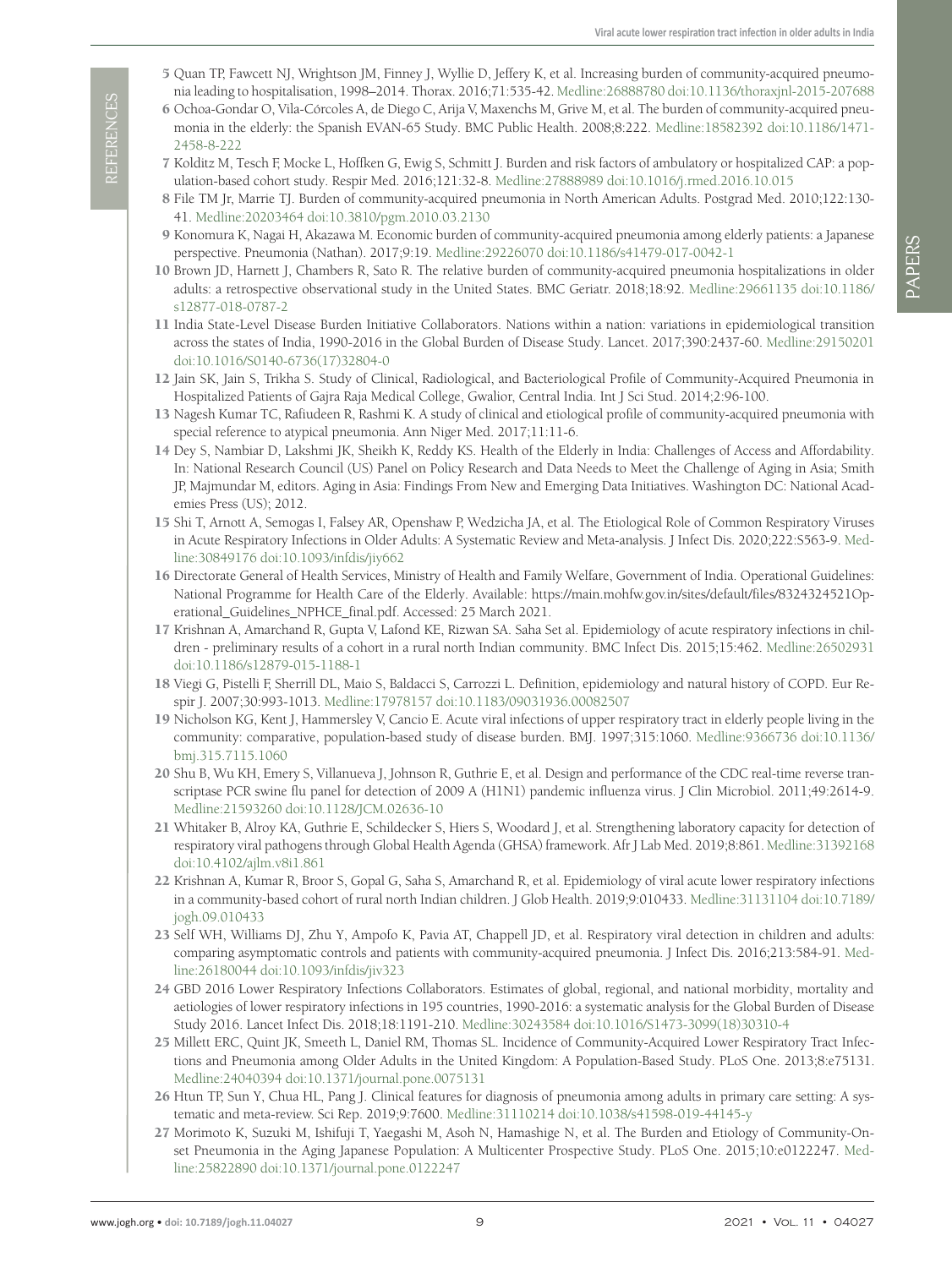- 5 Quan TP, Fawcett NJ, Wrightson JM, Finney J, Wyllie D, Jeffery K, et al. Increasing burden of community-acquired pneumonia leading to hospitalisation, 1998–2014. Thorax. 2016;71:535-42. Medline:26888780 doi:10.1136/thoraxjnl-2015-207688
- 6 Ochoa-Gondar O, Vila-Córcoles A, de Diego C, Arija V, Maxenchs M, Grive M, et al. The burden of community-acquired pneumonia in the elderly: the Spanish EVAN-65 Study. BMC Public Health. 2008;8:222. Medline:18582392 doi:10.1186/1471- 2458-8-222
- 7 Kolditz M, Tesch F, Mocke L, Hoffken G, Ewig S, Schmitt J. Burden and risk factors of ambulatory or hospitalized CAP: a population-based cohort study. Respir Med. 2016;121:32-8. Medline:27888989 doi:10.1016/j.rmed.2016.10.015
- 8 File TM Jr, Marrie TJ. Burden of community-acquired pneumonia in North American Adults. Postgrad Med. 2010;122:130- 41. Medline:20203464 doi:10.3810/pgm.2010.03.2130
- 9 Konomura K, Nagai H, Akazawa M. Economic burden of community-acquired pneumonia among elderly patients: a Japanese perspective. Pneumonia (Nathan). 2017;9:19. Medline:29226070 doi:10.1186/s41479-017-0042-1
- 10 Brown JD, Harnett J, Chambers R, Sato R. The relative burden of community-acquired pneumonia hospitalizations in older adults: a retrospective observational study in the United States. BMC Geriatr. 2018;18:92. Medline:29661135 doi:10.1186/ s12877-018-0787-2
- 11 India State-Level Disease Burden Initiative Collaborators. Nations within a nation: variations in epidemiological transition across the states of India, 1990-2016 in the Global Burden of Disease Study. Lancet. 2017;390:2437-60. Medline:29150201 doi:10.1016/S0140-6736(17)32804-0
- 12 Jain SK, Jain S, Trikha S. Study of Clinical, Radiological, and Bacteriological Profile of Community-Acquired Pneumonia in Hospitalized Patients of Gajra Raja Medical College, Gwalior, Central India. Int J Sci Stud. 2014;2:96-100.
- 13 Nagesh Kumar TC, Rafiudeen R, Rashmi K. A study of clinical and etiological profile of community-acquired pneumonia with special reference to atypical pneumonia. Ann Niger Med. 2017;11:11-6.
- 14 Dey S, Nambiar D, Lakshmi JK, Sheikh K, Reddy KS. Health of the Elderly in India: Challenges of Access and Affordability. In: National Research Council (US) Panel on Policy Research and Data Needs to Meet the Challenge of Aging in Asia; Smith JP, Majmundar M, editors. Aging in Asia: Findings From New and Emerging Data Initiatives. Washington DC: National Academies Press (US); 2012.
- 15 Shi T, Arnott A, Semogas I, Falsey AR, Openshaw P, Wedzicha JA, et al. The Etiological Role of Common Respiratory Viruses in Acute Respiratory Infections in Older Adults: A Systematic Review and Meta-analysis. J Infect Dis. 2020;222:S563-9. Medline:30849176 doi:10.1093/infdis/jiy662
- 16 Directorate General of Health Services, Ministry of Health and Family Welfare, Government of India. Operational Guidelines: National Programme for Health Care of the Elderly. Available: https://main.mohfw.gov.in/sites/default/files/8324324521Operational\_Guidelines\_NPHCE\_final.pdf. Accessed: 25 March 2021.
- 17 Krishnan A, Amarchand R, Gupta V, Lafond KE, Rizwan SA. Saha Set al. Epidemiology of acute respiratory infections in children - preliminary results of a cohort in a rural north Indian community. BMC Infect Dis. 2015;15:462. Medline:26502931 doi:10.1186/s12879-015-1188-1
- 18 Viegi G, Pistelli F, Sherrill DL, Maio S, Baldacci S, Carrozzi L. Definition, epidemiology and natural history of COPD. Eur Respir J. 2007;30:993-1013. Medline:17978157 doi:10.1183/09031936.00082507
- 19 Nicholson KG, Kent J, Hammersley V, Cancio E. Acute viral infections of upper respiratory tract in elderly people living in the community: comparative, population-based study of disease burden. BMJ. 1997;315:1060. Medline:9366736 doi:10.1136/ bmj.315.7115.1060
- 20 Shu B, Wu KH, Emery S, Villanueva J, Johnson R, Guthrie E, et al. Design and performance of the CDC real-time reverse transcriptase PCR swine flu panel for detection of 2009 A (H1N1) pandemic influenza virus. J Clin Microbiol. 2011;49:2614-9. Medline:21593260 doi:10.1128/JCM.02636-10
- 21 Whitaker B, Alroy KA, Guthrie E, Schildecker S, Hiers S, Woodard J, et al. Strengthening laboratory capacity for detection of respiratory viral pathogens through Global Health Agenda (GHSA) framework. Afr J Lab Med. 2019;8:861. Medline:31392168 doi:10.4102/ajlm.v8i1.861
- 22 Krishnan A, Kumar R, Broor S, Gopal G, Saha S, Amarchand R, et al. Epidemiology of viral acute lower respiratory infections in a community-based cohort of rural north Indian children. J Glob Health. 2019;9:010433. Medline:31131104 doi:10.7189/ jogh.09.010433
- 23 Self WH, Williams DJ, Zhu Y, Ampofo K, Pavia AT, Chappell JD, et al. Respiratory viral detection in children and adults: comparing asymptomatic controls and patients with community-acquired pneumonia. J Infect Dis. 2016;213:584-91. Medline:26180044 doi:10.1093/infdis/jiv323
- 24 GBD 2016 Lower Respiratory Infections Collaborators. Estimates of global, regional, and national morbidity, mortality and aetiologies of lower respiratory infections in 195 countries, 1990-2016: a systematic analysis for the Global Burden of Disease Study 2016. Lancet Infect Dis. 2018;18:1191-210. Medline:30243584 doi:10.1016/S1473-3099(18)30310-4
- 25 Millett ERC, Quint JK, Smeeth L, Daniel RM, Thomas SL. Incidence of Community-Acquired Lower Respiratory Tract Infections and Pneumonia among Older Adults in the United Kingdom: A Population-Based Study. PLoS One. 2013;8:e75131. Medline:24040394 doi:10.1371/journal.pone.0075131
- 26 Htun TP, Sun Y, Chua HL, Pang J. Clinical features for diagnosis of pneumonia among adults in primary care setting: A systematic and meta-review. Sci Rep. 2019;9:7600. Medline:31110214 doi:10.1038/s41598-019-44145-y
- 27 Morimoto K, Suzuki M, Ishifuji T, Yaegashi M, Asoh N, Hamashige N, et al. The Burden and Etiology of Community-Onset Pneumonia in the Aging Japanese Population: A Multicenter Prospective Study. PLoS One. 2015;10:e0122247. Medline:25822890 doi:10.1371/journal.pone.0122247